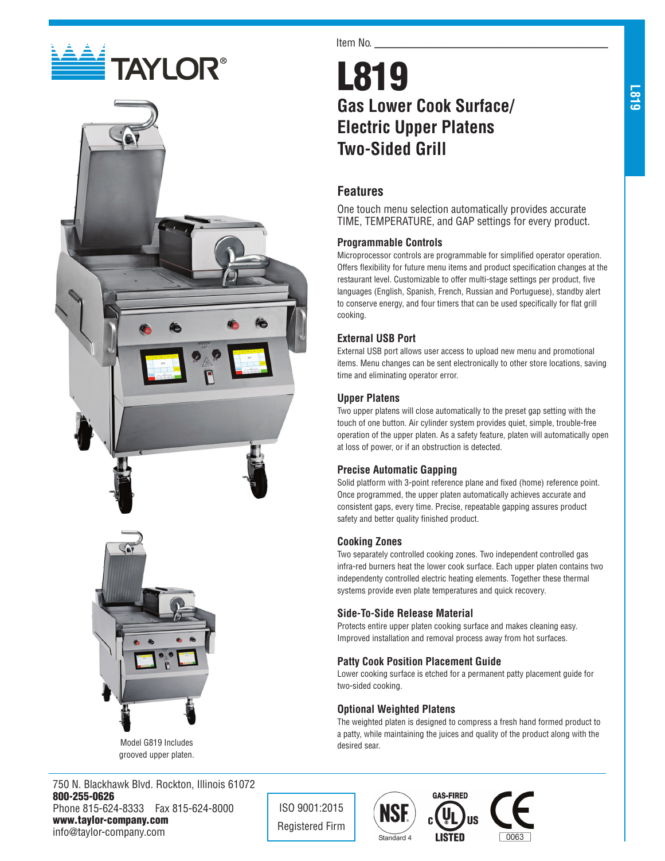# **E TAYLOR®**





Model G819 Includes grooved upper platen.

750 N. Blackhawk Blvd. Rockton, Illinois 61072 800-255-0626 Phone 815-624-8333 Fax 815-624-8000 www.taylor-company.com info@taylor-company.com

Item No.

# L819 **Gas Lower Cook Surface/ Electric Upper Platens Two-Sided Grill**

# **Features**

One touch menu selection automatically provides accurate TIME, TEMPERATURE, and GAP settings for every product.

#### **Programmable Controls**

Microprocessor controls are programmable for simplified operator operation. Offers flexibility for future menu items and product specification changes at the restaurant level. Customizable to offer multi-stage settings per product, five languages (English, Spanish, French, Russian and Portuguese), standby alert to conserve energy, and four timers that can be used specifically for flat grill cooking.

#### **External USB Port**

External USB port allows user access to upload new menu and promotional items. Menu changes can be sent electronically to other store locations, saving time and eliminating operator error.

#### **Upper Platens**

Two upper platens will close automatically to the preset gap setting with the touch of one button. Air cylinder system provides quiet, simple, trouble-free operation of the upper platen. As a safety feature, platen will automatically open at loss of power, or if an obstruction is detected.

#### **Precise Automatic Gapping**

Solid platform with 3-point reference plane and fixed (home) reference point. Once programmed, the upper platen automatically achieves accurate and consistent gaps, every time. Precise, repeatable gapping assures product safety and better quality finished product.

#### **Cooking Zones**

Two separately controlled cooking zones. Two independent controlled gas infra-red burners heat the lower cook surface. Each upper platen contains two independenty controlled electric heating elements. Together these thermal systems provide even plate temperatures and quick recovery.

#### **Side-To-Side Release Material**

Protects entire upper platen cooking surface and makes cleaning easy. Improved installation and removal process away from hot surfaces.

#### **Patty Cook Position Placement Guide**

Lower cooking surface is etched for a permanent patty placement guide for two-sided cooking.

#### **Optional Weighted Platens**

The weighted platen is designed to compress a fresh hand formed product to a patty, while maintaining the juices and quality of the product along with the desired sear.